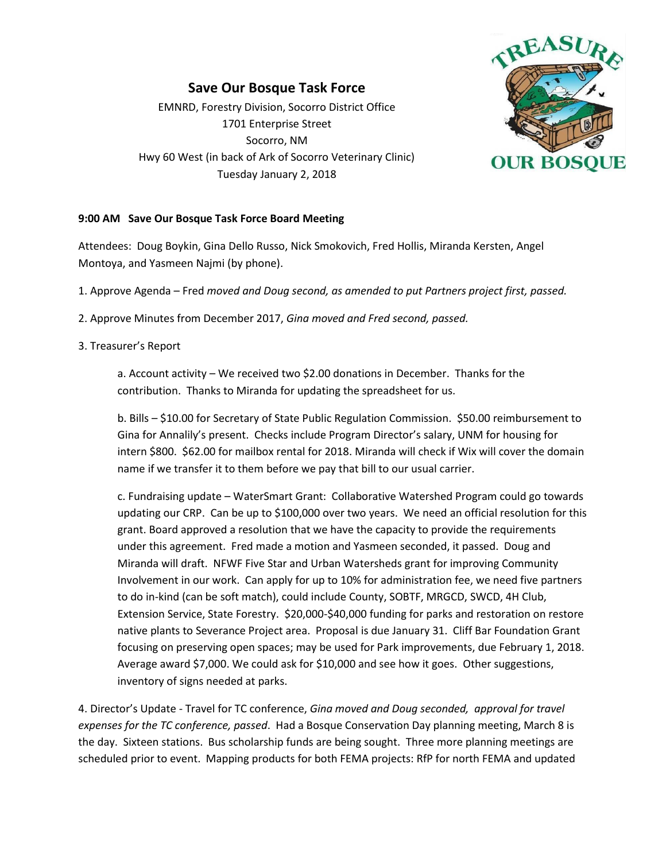## **Save Our Bosque Task Force**

EMNRD, Forestry Division, Socorro District Office 1701 Enterprise Street Socorro, NM Hwy 60 West (in back of Ark of Socorro Veterinary Clinic) Tuesday January 2, 2018



## **9:00 AM Save Our Bosque Task Force Board Meeting**

Attendees: Doug Boykin, Gina Dello Russo, Nick Smokovich, Fred Hollis, Miranda Kersten, Angel Montoya, and Yasmeen Najmi (by phone).

- 1. Approve Agenda Fred *moved and Doug second, as amended to put Partners project first, passed.*
- 2. Approve Minutes from December 2017, *Gina moved and Fred second, passed.*

## 3. Treasurer's Report

a. Account activity – We received two \$2.00 donations in December. Thanks for the contribution. Thanks to Miranda for updating the spreadsheet for us.

b. Bills – \$10.00 for Secretary of State Public Regulation Commission. \$50.00 reimbursement to Gina for Annalily's present. Checks include Program Director's salary, UNM for housing for intern \$800. \$62.00 for mailbox rental for 2018. Miranda will check if Wix will cover the domain name if we transfer it to them before we pay that bill to our usual carrier.

c. Fundraising update – WaterSmart Grant: Collaborative Watershed Program could go towards updating our CRP. Can be up to \$100,000 over two years. We need an official resolution for this grant. Board approved a resolution that we have the capacity to provide the requirements under this agreement. Fred made a motion and Yasmeen seconded, it passed. Doug and Miranda will draft. NFWF Five Star and Urban Watersheds grant for improving Community Involvement in our work. Can apply for up to 10% for administration fee, we need five partners to do in-kind (can be soft match), could include County, SOBTF, MRGCD, SWCD, 4H Club, Extension Service, State Forestry. \$20,000-\$40,000 funding for parks and restoration on restore native plants to Severance Project area. Proposal is due January 31. Cliff Bar Foundation Grant focusing on preserving open spaces; may be used for Park improvements, due February 1, 2018. Average award \$7,000. We could ask for \$10,000 and see how it goes. Other suggestions, inventory of signs needed at parks.

4. Director's Update - Travel for TC conference, *Gina moved and Doug seconded, approval for travel expenses for the TC conference, passed*. Had a Bosque Conservation Day planning meeting, March 8 is the day. Sixteen stations. Bus scholarship funds are being sought. Three more planning meetings are scheduled prior to event. Mapping products for both FEMA projects: RfP for north FEMA and updated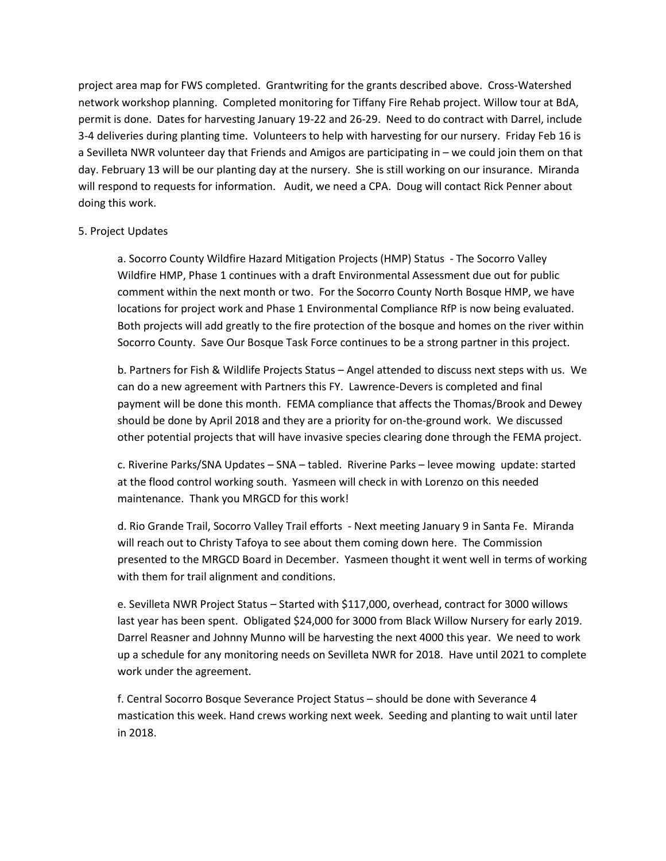project area map for FWS completed. Grantwriting for the grants described above. Cross-Watershed network workshop planning. Completed monitoring for Tiffany Fire Rehab project. Willow tour at BdA, permit is done. Dates for harvesting January 19-22 and 26-29. Need to do contract with Darrel, include 3-4 deliveries during planting time. Volunteers to help with harvesting for our nursery. Friday Feb 16 is a Sevilleta NWR volunteer day that Friends and Amigos are participating in – we could join them on that day. February 13 will be our planting day at the nursery. She is still working on our insurance. Miranda will respond to requests for information. Audit, we need a CPA. Doug will contact Rick Penner about doing this work.

## 5. Project Updates

a. Socorro County Wildfire Hazard Mitigation Projects (HMP) Status - The Socorro Valley Wildfire HMP, Phase 1 continues with a draft Environmental Assessment due out for public comment within the next month or two. For the Socorro County North Bosque HMP, we have locations for project work and Phase 1 Environmental Compliance RfP is now being evaluated. Both projects will add greatly to the fire protection of the bosque and homes on the river within Socorro County. Save Our Bosque Task Force continues to be a strong partner in this project.

b. Partners for Fish & Wildlife Projects Status – Angel attended to discuss next steps with us. We can do a new agreement with Partners this FY. Lawrence-Devers is completed and final payment will be done this month. FEMA compliance that affects the Thomas/Brook and Dewey should be done by April 2018 and they are a priority for on-the-ground work. We discussed other potential projects that will have invasive species clearing done through the FEMA project.

c. Riverine Parks/SNA Updates – SNA – tabled. Riverine Parks – levee mowing update: started at the flood control working south. Yasmeen will check in with Lorenzo on this needed maintenance. Thank you MRGCD for this work!

d. Rio Grande Trail, Socorro Valley Trail efforts - Next meeting January 9 in Santa Fe. Miranda will reach out to Christy Tafoya to see about them coming down here. The Commission presented to the MRGCD Board in December. Yasmeen thought it went well in terms of working with them for trail alignment and conditions.

e. Sevilleta NWR Project Status – Started with \$117,000, overhead, contract for 3000 willows last year has been spent. Obligated \$24,000 for 3000 from Black Willow Nursery for early 2019. Darrel Reasner and Johnny Munno will be harvesting the next 4000 this year. We need to work up a schedule for any monitoring needs on Sevilleta NWR for 2018. Have until 2021 to complete work under the agreement.

f. Central Socorro Bosque Severance Project Status – should be done with Severance 4 mastication this week. Hand crews working next week. Seeding and planting to wait until later in 2018.